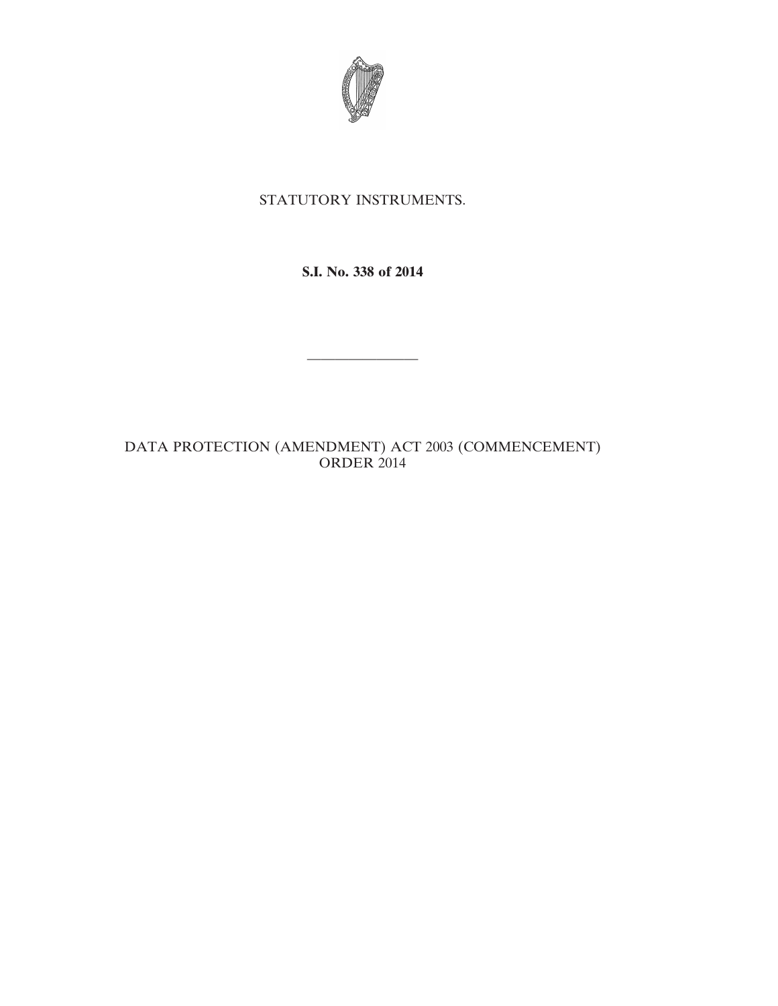

## STATUTORY INSTRUMENTS.

**S.I. No. 338 of 2014**

————————

DATA PROTECTION (AMENDMENT) ACT 2003 (COMMENCEMENT) ORDER 2014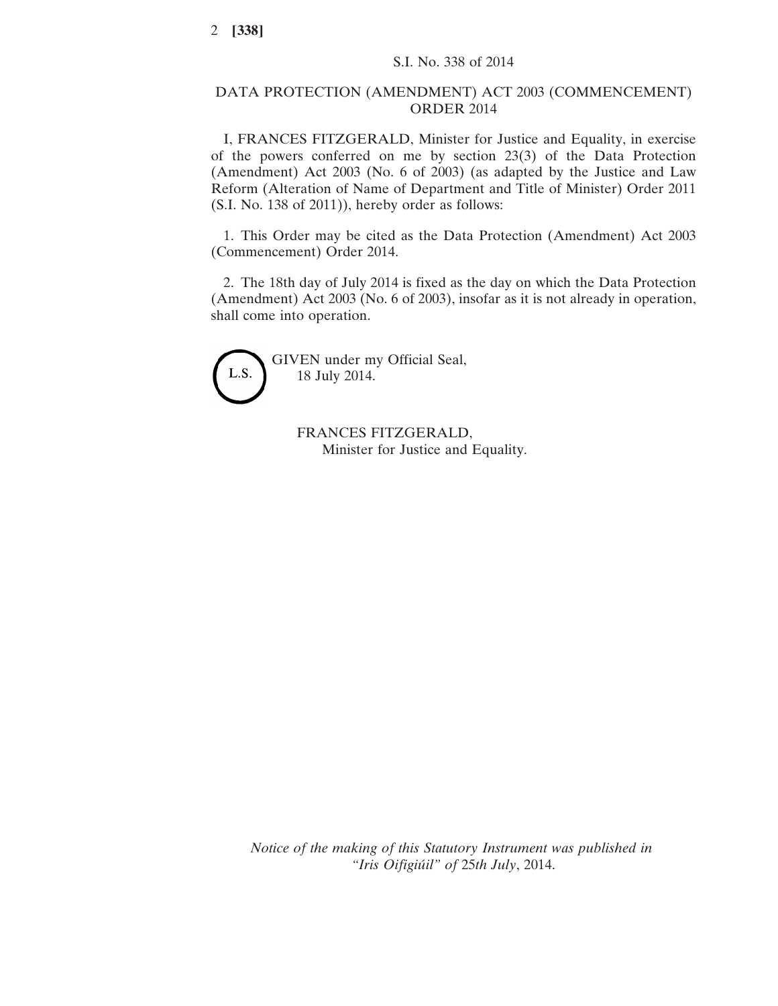## DATA PROTECTION (AMENDMENT) ACT 2003 (COMMENCEMENT) ORDER 2014

I, FRANCES FITZGERALD, Minister for Justice and Equality, in exercise of the powers conferred on me by section 23(3) of the Data Protection (Amendment) Act 2003 (No. 6 of 2003) (as adapted by the Justice and Law Reform (Alteration of Name of Department and Title of Minister) Order 2011 (S.I. No. 138 of 2011)), hereby order as follows:

1. This Order may be cited as the Data Protection (Amendment) Act 2003 (Commencement) Order 2014.

2. The 18th day of July 2014 is fixed as the day on which the Data Protection (Amendment) Act 2003 (No. 6 of 2003), insofar as it is not already in operation, shall come into operation.



GIVEN under my Official Seal, 18 July 2014.

> FRANCES FITZGERALD, Minister for Justice and Equality.

*Notice of the making of this Statutory Instrument was published in "Iris Oifigiúil" of* 25*th July*, 2014.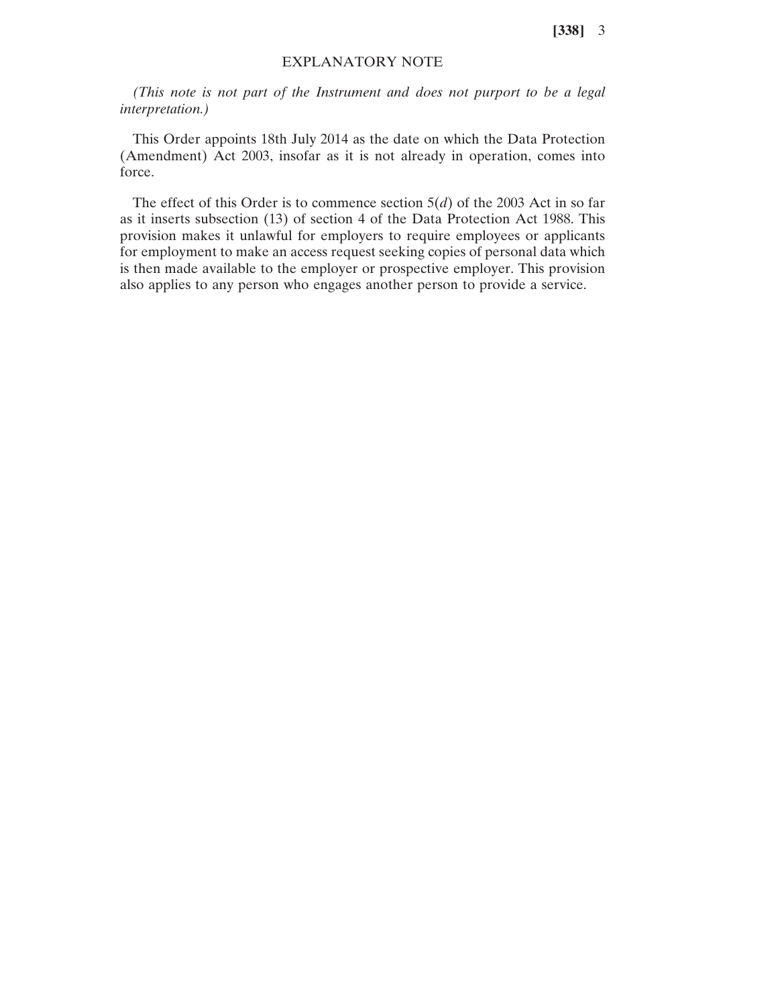**[338]** 3

## EXPLANATORY NOTE

*(This note is not part of the Instrument and does not purport to be a legal interpretation.)*

This Order appoints 18th July 2014 as the date on which the Data Protection (Amendment) Act 2003, insofar as it is not already in operation, comes into force.

The effect of this Order is to commence section 5(*d*) of the 2003 Act in so far as it inserts subsection (13) of section 4 of the Data Protection Act 1988. This provision makes it unlawful for employers to require employees or applicants for employment to make an access request seeking copies of personal data which is then made available to the employer or prospective employer. This provision also applies to any person who engages another person to provide a service.